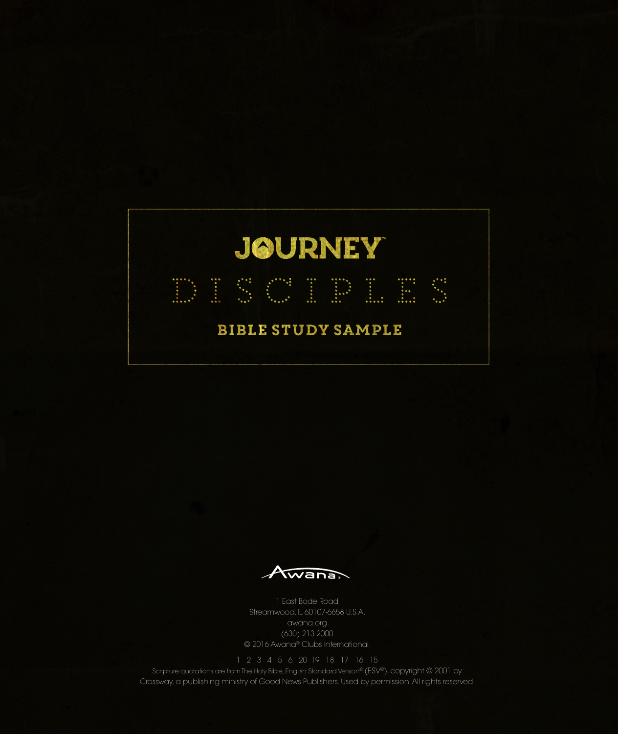

Awana

1 East Bode Road Streamwood, IL 60107-6658 U.S.A. awana.org (630) 213-2000 © 2016 Awana® Clubs International.

Scripture quotations are from The Holy Bible, English Standard Version® (ESV®), copyright © 2001 by Crossway, a publishing ministry of Good News Publishers. Used by permission. All rights reserved.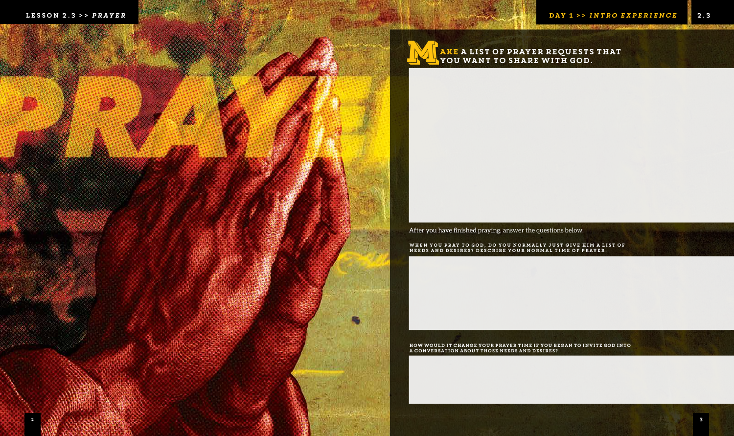# ake a list of prayer requests that WA REALIST OF PRAYER REQUESTS

After you have finished praying, answer the questions below.

When you pray to God, do you normally just give Him a list of needs and desires? Describe your normal time of prayer.

How would it change your prayer time if you began to invite God into a conversation about those needs and desires?

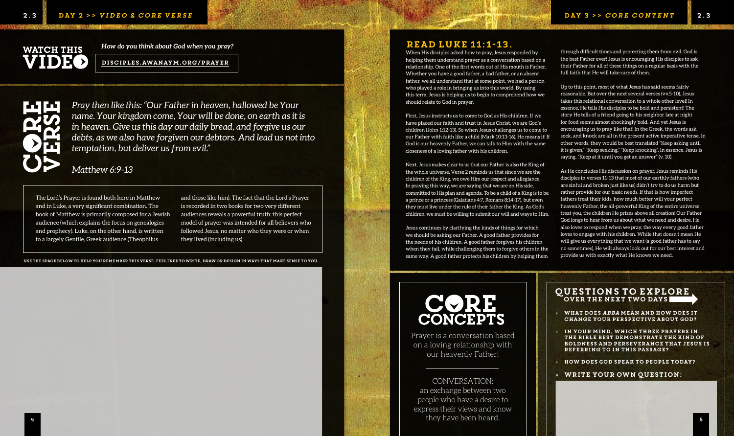*Pray then like this: "Our Father in heaven, hallowed be Your name. Your kingdom come, Your will be done, on earth as it is in heaven. Give us this day our daily bread, and forgive us our debts, as we also have forgiven our debtors. And lead us not into temptation, but deliver us from evil."* 

*Matthew 6:9-13*

The Lord's Prayer is found both here in Matthew and in Luke, a very significant combination. The book of Matthew is primarily composed for a Jewish audience (which explains the focus on genealogies and prophecy). Luke, on the other hand, is written to a largely Gentile, Greek audience (Theophilus

CONVERSATION: an exchange between two people who have a desire to express their views and know they have been heard. a contract the contract of the contract of the contract of the contract of the contract of the contract of the contract of the contract of the contract of the contract of the contract of the contract of the contract of the

- 
- 
- 

and those like him). The fact that the Lord's Prayer is recorded in two books for two very different audiences reveals a powerful truth: this perfect model of prayer was intended for all believers who followed Jesus, no matter who they were or when they lived (including us).

> Prayer is a conversation based on a loving relationship with our heavenly Father!

## read Luke 11:1-13.

When His disciples asked how to pray, Jesus responded by helping them understand prayer as a conversation based on a relationship. One of the first words out of His mouth is Father. Whether you have a good father, a bad father, or an absent father, we all understand that at some point, we had a person who played a role in bringing us into this world. By using this term, Jesus is helping us to begin to comprehend how we should relate to God in prayer.

> WHAT DOES ABBA MEAN AND HOW DOES IT change your perspective about God?

First, Jesus instructs us to come to God as His children. If we have placed our faith and trust in Jesus Christ, we are God's children (John 1:12-13). So when Jesus challenges us to come to our Father with faith like a child (Mark 10:13-16), He means it! If God is our heavenly Father, we can talk to Him with the same closeness of a loving father with his children.

Next, Jesus makes clear to us that our Father is also the King of the whole universe. Verse 2 reminds us that since we are the children of the King, we owe Him our respect and allegiance. In praying this way, we are saying that we are on His side, committed to His plan and agenda. To be a child of a King is to be a prince or a princess (Galatians 4:7, Romans 8:14-17), but even they must live under the rule of their father the King. As God's children, we must be willing to submit our will and ways to Him.

Jesus continues by clarifying the kinds of things for which we should be asking our Father. A good father provides for the needs of his children. A good father forgives his children when they fail, while challenging them to forgive others in the same way. A good father protects his children by helping them

# CORE<br>CONCEPTS

# **WATCH THIS** IDEO

» In your mind, which three prayers in the Bible best demonstrate the kind of boldness and perseverance that Jesus is referring to in this passage?

» How does God speak to people today?

#### » Write your own question:

#### questions to explore over the next two days

through difficult times and protecting them from evil. God is the best Father ever! Jesus is encouraging His disciples to ask their Father for all of these things on a regular basis with the full faith that He will take care of them.

Up to this point, most of what Jesus has said seems fairly reasonable. But over the next several verses (vv.5-10), Jesus takes this relational conversation to a whole other level! In essence, He tells His disciples to be bold and persistent! The story He tells of a friend going to his neighbor late at night for food seems almost shockingly bold. And yet Jesus is encouraging us to pray like that! In the Greek, the words ask, seek, and knock are all in the present active imperative tense. In other words, they would be best translated "Keep asking until it is given," "Keep seeking," "Keep knocking". In essence, Jesus is saying, "Keep at it until you get an answer" (v. 10).

As He concludes His discussion on prayer, Jesus reminds His disciples in verses 11-13 that most of our earthly fathers (who are sinful and broken just like us) didn't try to do us harm but rather provide for our basic needs. If that is how imperfect fathers treat their kids, how much better will your perfect heavenly Father, the all-powerful King of the entire universe, treat you, the children He prizes above all creation! Our Father God longs to hear from us about what we need and desire. He also loves to respond when we pray, the way every good father loves to engage with his children. While that doesn't mean He will give us everything that we want (a good father has to say no sometimes), He will always look out for our best interest and provide us with exactly what He knows we need.

Use the space below to help you remember this verse. feel free to write, draw or design in ways that make sense to you.

*How do you think about God when you pray?*

### Disciples.awanaym.org/prayer